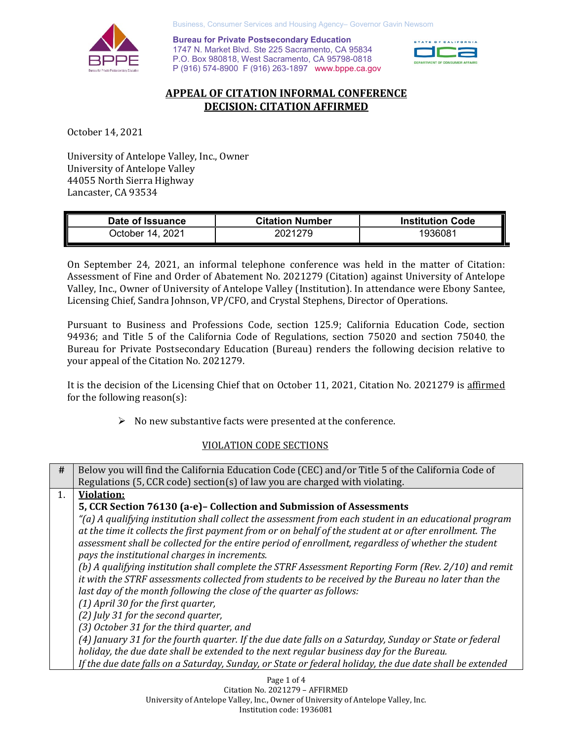

Business, Consumer Services and Housing Agency– Governor Gavin Newsom

**Bureau for Private Postsecondary Education** 1747 N. Market Blvd. Ste 225 Sacramento, CA 95834 P.O. Box 980818, West Sacramento, CA 95798-0818 P (916) 574-8900 F (916) 263-1897 www.bppe.ca.gov



# **APPEAL OF CITATION INFORMAL CONFERENCE DECISION: CITATION AFFIRMED**

October 14, 2021

University of Antelope Valley, Inc., Owner University of Antelope Valley 44055 North Sierra Highway Lancaster, CA 93534

| Date of Issuance    | <b>Citation Number</b> | <b>Institution Code</b> |
|---------------------|------------------------|-------------------------|
| 2021<br>⊃ctober 14. | 2021279                | 93608                   |

On September 24, 2021, an informal telephone conference was held in the matter of Citation: Assessment of Fine and Order of Abatement No. 2021279 (Citation) against University of Antelope Valley, Inc., Owner of University of Antelope Valley (Institution). In attendance were Ebony Santee, Licensing Chief, Sandra Johnson, VP/CFO, and Crystal Stephens, Director of Operations.

Pursuant to Business and Professions Code, section 125.9; California Education Code, section 94936; and Title 5 of the California Code of Regulations, section 75020 and section 75040, the Bureau for Private Postsecondary Education (Bureau) renders the following decision relative to your appeal of the Citation No. 2021279.

It is the decision of the Licensing Chief that on October 11, 2021, Citation No. 2021279 is affirmed for the following reason(s):

 $\triangleright$  No new substantive facts were presented at the conference.

# VIOLATION CODE SECTIONS

| #  | Below you will find the California Education Code (CEC) and/or Title 5 of the California Code of         |
|----|----------------------------------------------------------------------------------------------------------|
|    | Regulations (5, CCR code) section(s) of law you are charged with violating.                              |
| 1. | <b>Violation:</b>                                                                                        |
|    | 5, CCR Section 76130 (a-e)- Collection and Submission of Assessments                                     |
|    | "(a) A qualifying institution shall collect the assessment from each student in an educational program   |
|    | at the time it collects the first payment from or on behalf of the student at or after enrollment. The   |
|    | assessment shall be collected for the entire period of enrollment, regardless of whether the student     |
|    | pays the institutional charges in increments.                                                            |
|    | (b) A qualifying institution shall complete the STRF Assessment Reporting Form (Rev. 2/10) and remit     |
|    | it with the STRF assessments collected from students to be received by the Bureau no later than the      |
|    | last day of the month following the close of the quarter as follows:                                     |
|    | $(1)$ April 30 for the first quarter,                                                                    |
|    | (2) July 31 for the second quarter,                                                                      |
|    | (3) October 31 for the third quarter, and                                                                |
|    | (4) January 31 for the fourth quarter. If the due date falls on a Saturday, Sunday or State or federal   |
|    | holiday, the due date shall be extended to the next regular business day for the Bureau.                 |
|    | If the due date falls on a Saturday, Sunday, or State or federal holiday, the due date shall be extended |
|    |                                                                                                          |

Page 1 of 4 Citation No. 2021279 – AFFIRMED University of Antelope Valley, Inc., Owner of University of Antelope Valley, Inc. Institution code: 1936081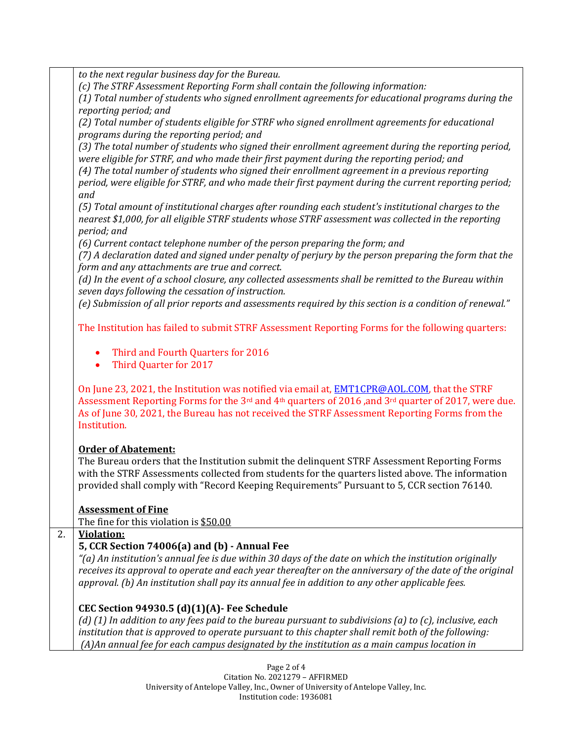*to the next regular business day for the Bureau.*

*(c) The STRF Assessment Reporting Form shall contain the following information:*

*(1) Total number of students who signed enrollment agreements for educational programs during the reporting period; and*

*(2) Total number of students eligible for STRF who signed enrollment agreements for educational programs during the reporting period; and*

*(3) The total number of students who signed their enrollment agreement during the reporting period, were eligible for STRF, and who made their first payment during the reporting period; and*

*(4) The total number of students who signed their enrollment agreement in a previous reporting period, were eligible for STRF, and who made their first payment during the current reporting period;* 

*and*

*(5) Total amount of institutional charges after rounding each student's institutional charges to the nearest \$1,000, for all eligible STRF students whose STRF assessment was collected in the reporting period; and*

*(6) Current contact telephone number of the person preparing the form; and*

*(7) A declaration dated and signed under penalty of perjury by the person preparing the form that the form and any attachments are true and correct.*

*(d) In the event of a school closure, any collected assessments shall be remitted to the Bureau within seven days following the cessation of instruction.*

*(e) Submission of all prior reports and assessments required by this section is a condition of renewal."*

The Institution has failed to submit STRF Assessment Reporting Forms for the following quarters:

- Third and Fourth Quarters for 2016
- Third Quarter for 2017

On June 23, 2021, the Institution was notified via email at, [EMT1CPR@AOL.COM,](mailto:EMT1CPR@AOL.COM) that the STRF Assessment Reporting Forms for the 3<sup>rd</sup> and 4<sup>th</sup> quarters of 2016, and 3<sup>rd</sup> quarter of 2017, were due. As of June 30, 2021, the Bureau has not received the STRF Assessment Reporting Forms from the Institution.

# **Order of Abatement:**

The Bureau orders that the Institution submit the delinquent STRF Assessment Reporting Forms with the STRF Assessments collected from students for the quarters listed above. The information provided shall comply with "Record Keeping Requirements" Pursuant to 5, CCR section 76140.

# **Assessment of Fine**

The fine for this violation is \$50.00

## 2. **Violation:**

# **5, CCR Section 74006(a) and (b) - Annual Fee**

*"(a) An institution's annual fee is due within 30 days of the date on which the institution originally receives its approval to operate and each year thereafter on the anniversary of the date of the original approval. (b) An institution shall pay its annual fee in addition to any other applicable fees.* 

# **CEC Section 94930.5 (d)(1)(A)- Fee Schedule**

*(d) (1) In addition to any fees paid to the bureau pursuant to subdivisions (a) to (c), inclusive, each institution that is approved to operate pursuant to this chapter shall remit both of the following: (A)An annual fee for each campus designated by the institution as a main campus location in* 

> Page 2 of 4 Citation No. 2021279 – AFFIRMED University of Antelope Valley, Inc., Owner of University of Antelope Valley, Inc. Institution code: 1936081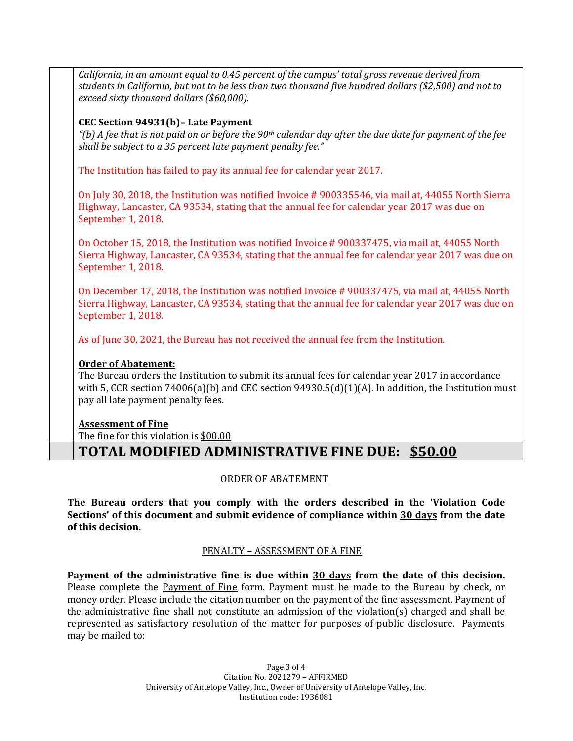| California, in an amount equal to 0.45 percent of the campus' total gross revenue derived from<br>students in California, but not to be less than two thousand five hundred dollars (\$2,500) and not to<br>exceed sixty thousand dollars (\$60,000). |
|-------------------------------------------------------------------------------------------------------------------------------------------------------------------------------------------------------------------------------------------------------|
| CEC Section 94931(b)- Late Payment<br>"(b) A fee that is not paid on or before the 90 <sup>th</sup> calendar day after the due date for payment of the fee<br>shall be subject to a 35 percent late payment penalty fee."                             |
| The Institution has failed to pay its annual fee for calendar year 2017.                                                                                                                                                                              |
| On July 30, 2018, the Institution was notified Invoice #900335546, via mail at, 44055 North Sierra<br>Highway, Lancaster, CA 93534, stating that the annual fee for calendar year 2017 was due on<br>September 1, 2018.                               |
| On October 15, 2018, the Institution was notified Invoice #900337475, via mail at, 44055 North<br>Sierra Highway, Lancaster, CA 93534, stating that the annual fee for calendar year 2017 was due on<br>September 1, 2018.                            |
| On December 17, 2018, the Institution was notified Invoice #900337475, via mail at, 44055 North<br>Sierra Highway, Lancaster, CA 93534, stating that the annual fee for calendar year 2017 was due on<br>September 1, 2018.                           |
| As of June 30, 2021, the Bureau has not received the annual fee from the Institution.                                                                                                                                                                 |
| <b>Order of Abatement:</b>                                                                                                                                                                                                                            |
| The Bureau orders the Institution to submit its annual fees for calendar year 2017 in accordance                                                                                                                                                      |
| with 5, CCR section $74006(a)(b)$ and CEC section $94930.5(d)(1)(A)$ . In addition, the Institution must                                                                                                                                              |
| pay all late payment penalty fees.                                                                                                                                                                                                                    |
| <b>Assessment of Fine</b>                                                                                                                                                                                                                             |
| The fine for this violation is \$00.00                                                                                                                                                                                                                |

# **TOTAL MODIFIED ADMINISTRATIVE FINE DUE: \$50.00**

## ORDER OF ABATEMENT

**The Bureau orders that you comply with the orders described in the 'Violation Code Sections' of this document and submit evidence of compliance within 30 days from the date of this decision.**

## PENALTY – ASSESSMENT OF A FINE

**Payment of the administrative fine is due within 30 days from the date of this decision.** Please complete the Payment of Fine form. Payment must be made to the Bureau by check, or money order. Please include the citation number on the payment of the fine assessment. Payment of the administrative fine shall not constitute an admission of the violation(s) charged and shall be represented as satisfactory resolution of the matter for purposes of public disclosure. Payments may be mailed to:

> Page 3 of 4 Citation No. 2021279 – AFFIRMED University of Antelope Valley, Inc., Owner of University of Antelope Valley, Inc. Institution code: 1936081